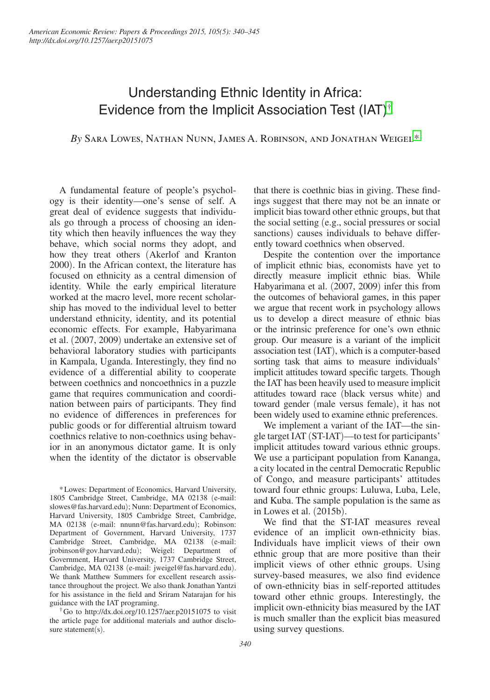# Understanding Ethnic Identity in Africa: Evidence from the Implicit Association Test (IAT)†

*By* Sara Lowes, Nathan Nunn, James A. Robinson, and Jonathan Weigel\*

A fundamental feature of people's psychology is their identity—one's sense of self. A great deal of evidence suggests that individuals go through a process of choosing an identity which then heavily influences the way they behave, which social norms they adopt, and how they treat others (Akerlof and Kranton 2000). In the African context, the literature has focused on ethnicity as a central dimension of identity. While the early empirical literature worked at the macro level, more recent scholarship has moved to the individual level to better understand ethnicity, identity, and its potential economic effects. For example, Habyarimana et al. (2007, 2009) undertake an extensive set of behavioral laboratory studies with participants in Kampala, Uganda. Interestingly, they find no evidence of a differential ability to cooperate between coethnics and noncoethnics in a puzzle game that requires communication and coordination between pairs of participants. They find no evidence of differences in preferences for public goods or for differential altruism toward coethnics relative to non-coethnics using behavior in an anonymous dictator game. It is only when the identity of the dictator is observable

\*Lowes: Department of Economics, Harvard University, 1805 Cambridge Street, Cambridge, MA 02138 (e-mail: slowes@fas.harvard.edu); Nunn: Department of Economics, Harvard University, 1805 Cambridge Street, Cambridge, MA 02138 (e-mail: nnunn@fas.harvard.edu); Robinson: Department of Government, Harvard University, 1737 Cambridge Street, Cambridge, MA 02138 (e-mail: jrobinson@gov.harvard.edu); Weigel: Department of Government, Harvard University, 1737 Cambridge Street, Cambridge, MA 02138 (e-mail: jweigel@fas.harvard.edu). We thank Matthew Summers for excellent research assistance throughout the project. We also thank Jonathan Yantzi for his assistance in the field and Sriram Natarajan for his guidance with the IAT programing.

†Go to <http://dx.doi.org/10.1257/aer.p20151075>to visit the article page for additional materials and author disclosure statement(s).

that there is coethnic bias in giving. These findings suggest that there may not be an innate or implicit bias toward other ethnic groups, but that the social setting (e.g., social pressures or social sanctions) causes individuals to behave differently toward coethnics when observed.

Despite the contention over the importance of implicit ethnic bias, economists have yet to directly measure implicit ethnic bias. While Habyarimana et al. (2007, 2009) infer this from the outcomes of behavioral games, in this paper we argue that recent work in psychology allows us to develop a direct measure of ethnic bias or the intrinsic preference for one's own ethnic group. Our measure is a variant of the implicit association test (IAT), which is a computer-based sorting task that aims to measure individuals' implicit attitudes toward specific targets. Though the IAT has been heavily used to measure implicit attitudes toward race (black versus white) and toward gender (male versus female), it has not been widely used to examine ethnic preferences.

We implement a variant of the IAT—the single target IAT (ST-IAT)—to test for participants' implicit attitudes toward various ethnic groups. We use a participant population from Kananga, a city located in the central Democratic Republic of Congo, and measure participants' attitudes toward four ethnic groups: Luluwa, Luba, Lele, and Kuba. The sample population is the same as in Lowes et al. (2015b).

We find that the ST-IAT measures reveal evidence of an implicit own-ethnicity bias. Individuals have implicit views of their own ethnic group that are more positive than their implicit views of other ethnic groups. Using survey-based measures, we also find evidence of own-ethnicity bias in self-reported attitudes toward other ethnic groups. Interestingly, the implicit own-ethnicity bias measured by the IAT is much smaller than the explicit bias measured using survey questions.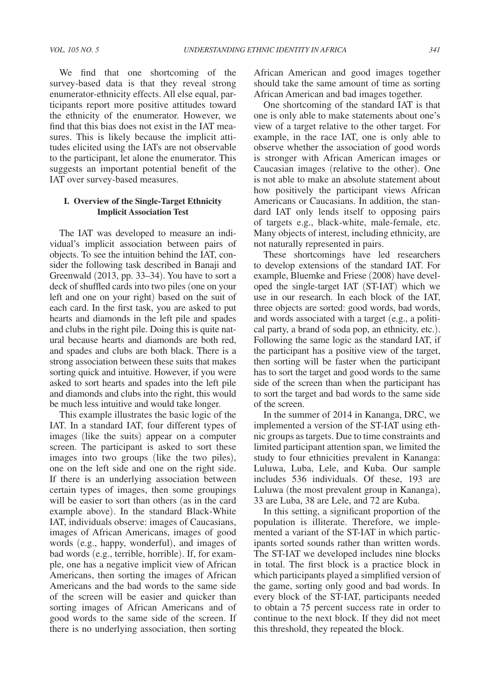We find that one shortcoming of the survey-based data is that they reveal strong enumerator-ethnicity effects. All else equal, participants report more positive attitudes toward the ethnicity of the enumerator. However, we find that this bias does not exist in the IAT measures. This is likely because the implicit attitudes elicited using the IATs are not observable to the participant, let alone the enumerator. This suggests an important potential benefit of the

## **I. Overview of the Single-Target Ethnicity Implicit Association Test**

IAT over survey-based measures.

The IAT was developed to measure an individual's implicit association between pairs of objects. To see the intuition behind the IAT, consider the following task described in Banaji and Greenwald (2013, pp. 33–34). You have to sort a deck of shuffled cards into two piles (one on your left and one on your right) based on the suit of each card. In the first task, you are asked to put hearts and diamonds in the left pile and spades and clubs in the right pile. Doing this is quite natural because hearts and diamonds are both red, and spades and clubs are both black. There is a strong association between these suits that makes sorting quick and intuitive. However, if you were asked to sort hearts and spades into the left pile and diamonds and clubs into the right, this would be much less intuitive and would take longer.

This example illustrates the basic logic of the IAT. In a standard IAT, four different types of images (like the suits) appear on a computer screen. The participant is asked to sort these images into two groups (like the two piles), one on the left side and one on the right side. If there is an underlying association between certain types of images, then some groupings will be easier to sort than others (as in the card example above). In the standard Black-White IAT, individuals observe: images of Caucasians, images of African Americans, images of good words (e.g., happy, wonderful), and images of bad words (e.g., terrible, horrible). If, for example, one has a negative implicit view of African Americans, then sorting the images of African Americans and the bad words to the same side of the screen will be easier and quicker than sorting images of African Americans and of good words to the same side of the screen. If there is no underlying association, then sorting

African American and good images together should take the same amount of time as sorting African American and bad images together.

One shortcoming of the standard IAT is that one is only able to make statements about one's view of a target relative to the other target. For example, in the race IAT, one is only able to observe whether the association of good words is stronger with African American images or Caucasian images (relative to the other). One is not able to make an absolute statement about how positively the participant views African Americans or Caucasians. In addition, the standard IAT only lends itself to opposing pairs of targets e.g., black-white, male-female, etc. Many objects of interest, including ethnicity, are not naturally represented in pairs.

These shortcomings have led researchers to develop extensions of the standard IAT. For example, Bluemke and Friese (2008) have developed the single-target IAT (ST-IAT) which we use in our research. In each block of the IAT, three objects are sorted: good words, bad words, and words associated with a target (e.g., a political party, a brand of soda pop, an ethnicity, etc.). Following the same logic as the standard IAT, if the participant has a positive view of the target, then sorting will be faster when the participant has to sort the target and good words to the same side of the screen than when the participant has to sort the target and bad words to the same side of the screen.

In the summer of 2014 in Kananga, DRC, we implemented a version of the ST-IAT using ethnic groups as targets. Due to time constraints and limited participant attention span, we limited the study to four ethnicities prevalent in Kananga: Luluwa, Luba, Lele, and Kuba. Our sample includes 536 individuals. Of these, 193 are Luluwa (the most prevalent group in Kananga), 33 are Luba, 38 are Lele, and 72 are Kuba.

In this setting, a significant proportion of the population is illiterate. Therefore, we implemented a variant of the ST-IAT in which participants sorted sounds rather than written words. The ST-IAT we developed includes nine blocks in total. The first block is a practice block in which participants played a simplified version of the game, sorting only good and bad words. In every block of the ST-IAT, participants needed to obtain a 75 percent success rate in order to continue to the next block. If they did not meet this threshold, they repeated the block.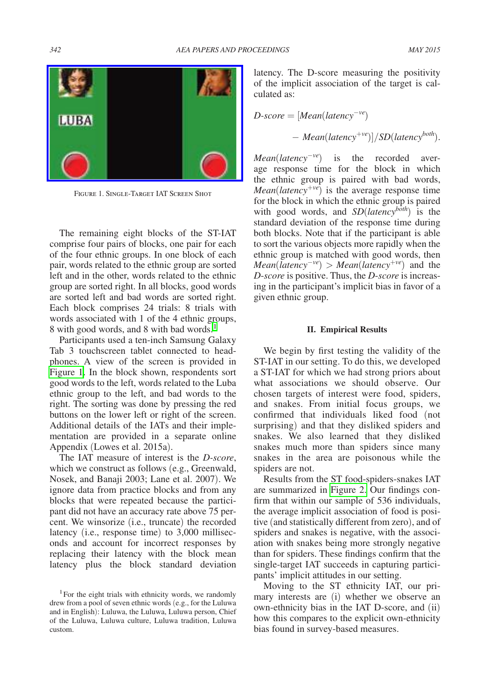

Figure 1. Single-Target IAT Screen Shot

The remaining eight blocks of the ST-IAT comprise four pairs of blocks, one pair for each of the four ethnic groups. In one block of each pair, words related to the ethnic group are sorted left and in the other, words related to the ethnic group are sorted right. In all blocks, good words are sorted left and bad words are sorted right. Each block comprises 24 trials: 8 trials with words associated with 1 of the 4 ethnic groups, 8 with good words, and 8 with bad words.<sup>1</sup>

Participants used a ten-inch Samsung Galaxy Tab 3 touchscreen tablet connected to headphones. A view of the screen is provided in Figure 1. In the block shown, respondents sort good words to the left, words related to the Luba ethnic group to the left, and bad words to the right. The sorting was done by pressing the red buttons on the lower left or right of the screen. Additional details of the IATs and their implementation are provided in a separate online Appendix (Lowes et al. 2015a).

The IAT measure of interest is the *D-score*, which we construct as follows (e.g., Greenwald, Nosek, and Banaji 2003; Lane et al. 2007). We ignore data from practice blocks and from any blocks that were repeated because the participant did not have an accuracy rate above 75 percent. We winsorize (i.e., truncate) the recorded latency (i.e., response time) to 3,000 milliseconds and account for incorrect responses by replacing their latency with the block mean latency plus the block standard deviation

latency. The D-score measuring the positivity of the implicit association of the target is calculated as:

$$
D\text{-}score = [Mean(latency^{-ve})
$$

$$
- Mean(latency^{+ve})]/SD(latency^{both}).
$$

*Mean*(*latency*<sup>−*ve*</sup>) is the recorded average response time for the block in which the ethnic group is paired with bad words, *Mean*(*latency*<sup>+</sup>*ve*) is the average response time for the block in which the ethnic group is paired with good words, and *SD*(*latency*<sup>both</sup>) is the standard deviation of the response time during both blocks. Note that if the participant is able to sort the various objects more rapidly when the ethnic group is matched with good words, then *Mean*(*latency*<sup>−</sup>*ve*) > *Mean*(*latency*<sup>+</sup>*ve*) and the *D*-*score* is positive. Thus, the *D*-*score* is increasing in the participant's implicit bias in favor of a given ethnic group.

#### **II. Empirical Results**

We begin by first testing the validity of the ST-IAT in our setting. To do this, we developed a ST-IAT for which we had strong priors about what associations we should observe. Our chosen targets of interest were food, spiders, and snakes. From initial focus groups, we confirmed that individuals liked food (not surprising) and that they disliked spiders and snakes. We also learned that they disliked snakes much more than spiders since many snakes in the area are poisonous while the spiders are not.

Results from the ST food-spiders-snakes IAT are summarized in [Figure 2.](#page-3-0) Our findings confirm that within our sample of 536 individuals, the average implicit association of food is positive (and statistically different from zero), and of spiders and snakes is negative, with the association with snakes being more strongly negative than for spiders. These findings confirm that the single-target IAT succeeds in capturing participants' implicit attitudes in our setting.

Moving to the ST ethnicity IAT, our primary interests are (i) whether we observe an own-ethnicity bias in the IAT D-score, and (ii) how this compares to the explicit own-ethnicity bias found in survey-based measures.

<sup>&</sup>lt;sup>1</sup>For the eight trials with ethnicity words, we randomly drew from a pool of seven ethnic words (e.g., for the Luluwa and in English): Luluwa, the Luluwa, Luluwa person, Chief of the Luluwa, Luluwa culture, Luluwa tradition, Luluwa custom.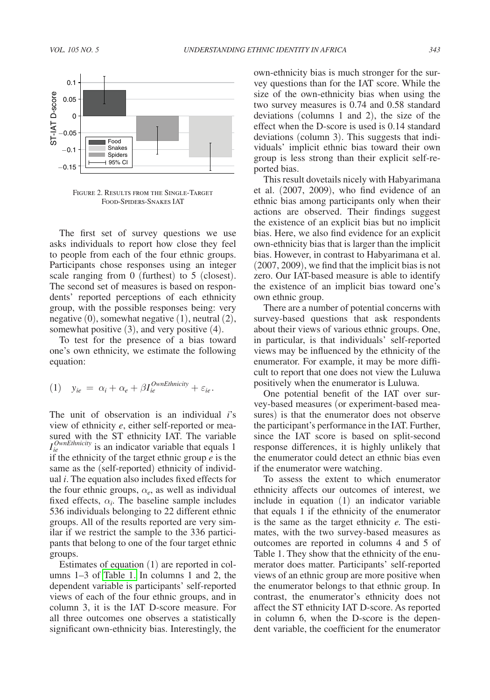<span id="page-3-0"></span>

Figure 2. Results from the Single-Target Food-Spiders-Snakes IAT

The first set of survey questions we use asks individuals to report how close they feel to people from each of the four ethnic groups. Participants chose responses using an integer scale ranging from 0 (furthest) to 5 (closest). The second set of measures is based on respondents' reported perceptions of each ethnicity group, with the possible responses being: very negative (0), somewhat negative (1), neutral (2), somewhat positive (3), and very positive (4).

To test for the presence of a bias toward one's own ethnicity, we estimate the following equation:

(1) 
$$
y_{ie} = \alpha_i + \alpha_e + \beta I_{ie}^{OwnEthnicity} + \varepsilon_{ie}.
$$

The unit of observation is an individual *i*'s view of ethnicity *e*, either self-reported or measured with the ST ethnicity IAT. The variable *I*<sup>*OwnEthnicity*</sup> is an indicator variable that equals 1 if the ethnicity of the target ethnic group *e* is the same as the (self-reported) ethnicity of individual *i*. The equation also includes fixed effects for the four ethnic groups,  $\alpha_e$ , as well as individual fixed effects,  $\alpha_i$ . The baseline sample includes 536 individuals belonging to 22 different ethnic groups. All of the results reported are very similar if we restrict the sample to the 336 participants that belong to one of the four target ethnic groups.

Estimates of equation (1) are reported in columns 1–3 of [Table 1.](#page-4-0) In columns 1 and 2, the dependent variable is participants' self-reported views of each of the four ethnic groups, and in column 3, it is the IAT D-score measure. For all three outcomes one observes a statistically significant own-ethnicity bias. Interestingly, the own-ethnicity bias is much stronger for the survey questions than for the IAT score. While the size of the own-ethnicity bias when using the two survey measures is 0.74 and 0.58 standard deviations (columns 1 and 2), the size of the effect when the D-score is used is 0.14 standard deviations (column 3). This suggests that individuals' implicit ethnic bias toward their own group is less strong than their explicit self-reported bias.

This result dovetails nicely with Habyarimana et al. (2007, 2009), who find evidence of an ethnic bias among participants only when their actions are observed. Their findings suggest the existence of an explicit bias but no implicit bias. Here, we also find evidence for an explicit own-ethnicity bias that is larger than the implicit bias. However, in contrast to Habyarimana et al. (2007, 2009), we find that the implicit bias is not zero. Our IAT-based measure is able to identify the existence of an implicit bias toward one's own ethnic group.

There are a number of potential concerns with survey-based questions that ask respondents about their views of various ethnic groups. One, in particular, is that individuals' self-reported views may be influenced by the ethnicity of the enumerator. For example, it may be more difficult to report that one does not view the Luluwa positively when the enumerator is Luluwa.

One potential benefit of the IAT over survey-based measures (or experiment-based measures) is that the enumerator does not observe the participant's performance in the IAT. Further, since the IAT score is based on split-second response differences, it is highly unlikely that the enumerator could detect an ethnic bias even if the enumerator were watching.

To assess the extent to which enumerator ethnicity affects our outcomes of interest, we include in equation (1) an indicator variable that equals 1 if the ethnicity of the enumerator is the same as the target ethnicity *e.* The estimates, with the two survey-based measures as outcomes are reported in columns 4 and 5 of Table 1. They show that the ethnicity of the enumerator does matter. Participants' self-reported views of an ethnic group are more positive when the enumerator belongs to that ethnic group. In contrast, the enumerator's ethnicity does not affect the ST ethnicity IAT D-score. As reported in column 6, when the D-score is the dependent variable, the coefficient for the enumerator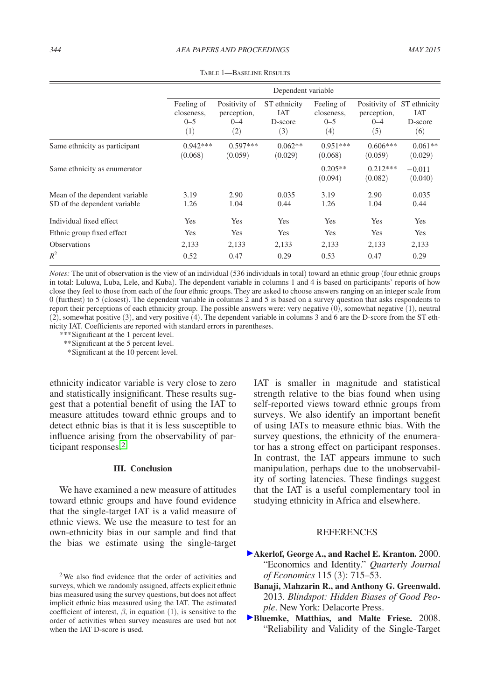<span id="page-4-0"></span>

|                                                                 | Dependent variable                         |                                                |                                              |                                            |                               |                                                            |
|-----------------------------------------------------------------|--------------------------------------------|------------------------------------------------|----------------------------------------------|--------------------------------------------|-------------------------------|------------------------------------------------------------|
|                                                                 | Feeling of<br>closeness.<br>$0 - 5$<br>(1) | Positivity of<br>perception,<br>$0 - 4$<br>(2) | ST ethnicity<br><b>IAT</b><br>D-score<br>(3) | Feeling of<br>closeness.<br>$0 - 5$<br>(4) | perception,<br>$0 - 4$<br>(5) | Positivity of ST ethnicity<br><b>IAT</b><br>D-score<br>(6) |
| Same ethnicity as participant                                   | $0.942***$<br>(0.068)                      | $0.597***$<br>(0.059)                          | $0.062**$<br>(0.029)                         | $0.951***$<br>(0.068)                      | $0.606***$<br>(0.059)         | $0.061**$<br>(0.029)                                       |
| Same ethnicity as enumerator                                    |                                            |                                                |                                              | $0.205**$<br>(0.094)                       | $0.212***$<br>(0.082)         | $-0.011$<br>(0.040)                                        |
| Mean of the dependent variable.<br>SD of the dependent variable | 3.19<br>1.26                               | 2.90<br>1.04                                   | 0.035<br>0.44                                | 3.19<br>1.26                               | 2.90<br>1.04                  | 0.035<br>0.44                                              |
| Individual fixed effect                                         | <b>Yes</b>                                 | Yes                                            | <b>Yes</b>                                   | Yes                                        | Yes                           | <b>Yes</b>                                                 |
| Ethnic group fixed effect                                       | Yes                                        | Yes                                            | Yes                                          | Yes                                        | Yes                           | Yes                                                        |
| <b>Observations</b>                                             | 2,133                                      | 2,133                                          | 2,133                                        | 2,133                                      | 2,133                         | 2,133                                                      |
| $R^2$                                                           | 0.52                                       | 0.47                                           | 0.29                                         | 0.53                                       | 0.47                          | 0.29                                                       |

Table 1—Baseline Results

*Notes:* The unit of observation is the view of an individual (536 individuals in total) toward an ethnic group (four ethnic groups in total: Luluwa, Luba, Lele, and Kuba). The dependent variable in columns 1 and 4 is based on participants' reports of how close they feel to those from each of the four ethnic groups. They are asked to choose answers ranging on an integer scale from 0 (furthest) to 5 (closest). The dependent variable in columns 2 and 5 is based on a survey question that asks respondents to report their perceptions of each ethnicity group. The possible answers were: very negative (0), somewhat negative (1), neutral (2), somewhat positive (3), and very positive (4). The dependent variable in columns 3 and 6 are the D-score from the ST ethnicity IAT. Coefficients are reported with standard errors in parentheses.

*\*\*\**Significant at the 1 percent level.

*\*\**Significant at the 5 percent level.

 *\**Significant at the 10 percent level.

ethnicity indicator variable is very close to zero and statistically insignificant. These results suggest that a potential benefit of using the IAT to measure attitudes toward ethnic groups and to detect ethnic bias is that it is less susceptible to influence arising from the observability of participant responses.2

#### **III. Conclusion**

We have examined a new measure of attitudes toward ethnic groups and have found evidence that the single-target IAT is a valid measure of ethnic views. We use the measure to test for an own-ethnicity bias in our sample and find that the bias we estimate using the single-target

2We also find evidence that the order of activities and surveys, which we randomly assigned, affects explicit ethnic bias measured using the survey questions, but does not affect implicit ethnic bias measured using the IAT. The estimated coefficient of interest,  $\beta$ , in equation (1), is sensitive to the order of activities when survey measures are used but not when the IAT D-score is used.

IAT is smaller in magnitude and statistical strength relative to the bias found when using self-reported views toward ethnic groups from surveys. We also identify an important benefit of using IATs to measure ethnic bias. With the survey questions, the ethnicity of the enumerator has a strong effect on participant responses. In contrast, the IAT appears immune to such manipulation, perhaps due to the unobservability of sorting latencies. These findings suggest that the IAT is a useful complementary tool in studying ethnicity in Africa and elsewhere.

## **REFERENCES**

- **Akerlof, George A., and Rachel E. Kranton.** 2000. "Economics and Identity." *Quarterly Journal of Economics* 115 (3): 715–53.
	- **Banaji, Mahzarin R., and Anthony G. Greenwald.**  2013. *Blindspot: Hidden Biases of Good People*. New York: Delacorte Press.
- **Bluemke, Matthias, and Malte Friese.** 2008. "Reliability and Validity of the Single-Target